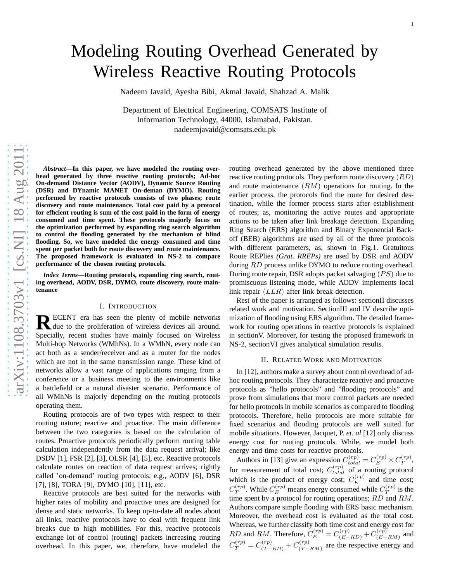# Modeling Routing Overhead Generated by Wireless Reactive Routing Protocols

Nadeem Javaid, Ayesha Bibi, Akmal Javaid, Shahzad A. Malik

Department of Electrical Engineering, COMSATS Institute o f Information Technology, 44000, Islamabad, Pakistan. nadeemjavaid@comsats.edu.pk

*Abstract***—In this paper, we have modeled the routing overhead generated by three reactive routing protocols; Ad-hoc On-demand Distance Vector (AODV), Dynamic Source Routing (DSR) and DYnamic MANET On-deman (DYMO). Routing performed by reactive protocols consists of two phases; route discovery and route maintenance. Total cost paid by a protocol for efficient routing is sum of the cost paid in the form of energy consumed and time spent. These protocols majorly focus on the optimization performed by expanding ring search algorithm to control the flooding generated by the mechanism of blind flooding. So, we have modeled the energy consumed and time spent per packet both for route discovery and route maintenance. The proposed framework is evaluated in NS-2 to compare performance of the chosen routing protocols.**

*Index Terms***—Routing protocols, expanding ring search, routing overhead, AODV, DSR, DYMO, route discovery, route maintenance**

## I. INTRODUCTION

**R** ECENT era has seen the plenty of mobile networks due to the proliferation of wireless devices all around. due to the proliferation of wireless devices all around. Specially, recent studies have mainly focused on Wireless Multi-hop Networks (WMhNs). In a WMhN, every node can act both as a sender/receiver and as a router for the nodes which are not in the same transmission range. These kind of networks allow a vast range of applications ranging from a conference or a business meeting to the environments like a battlefield or a natural disaster scenario. Performance of all WMhNs is majorly depending on the routing protocols operating them.

Routing protocols are of two types with respect to their routing nature; reactive and proactive. The main differenc e between the two categories is based on the calculation of routes. Proactive protocols periodically perform routing table calculation independently from the data request arrival; like DSDV [1], FSR [2], [3], OLSR [4], [5], etc. Reactive protocol s calculate routes on reaction of data request arrives; rightly called 'on-demand' routing protocols; e.g., AODV [6], DSR [7], [8], TORA [9], DYMO [10], [11], etc.

Reactive protocols are best suited for the networks with higher rates of mobility and proactive ones are designed for dense and static networks. To keep up-to-date all nodes abou t all links, reactive protocols have to deal with frequent lin k breaks due to high mobilities. For this, reactive protocols exchange lot of control (routing) packets increasing routing overhead. In this paper, we, therefore, have modeled the routing overhead generated by the above mentioned three reactive routing protocols. They perform route discovery  $(RD)$ and route maintenance  $(RM)$  operations for routing. In the earlier process, the protocols find the route for desired destination, while the former process starts after establishment of routes; as, monitoring the active routes and appropriate actions to be taken after link breakage detection. Expandin g Ring Search (ERS) algorithm and Binary Exponential Backoff (BEB) algorithms are used by all of the three protocols with different parameters, as, shown in Fig.1. Gratuitous Route REPlies *(Grat. RREPs)* are used by DSR and AODV during RD process unlike DYMO to reduce routing overhead. During route repair, DSR adopts packet salvaging  $(PS)$  due to promiscuous listening mode, while AODV implements local link repair  $(LLR)$  after link break detection.

Rest of the paper is arranged as follows: sectionII discusse s related work and motivation. SectionIII and IV describe optimization of flooding using ERS algorithm. The detailed framework for routing operations in reactive protocols is explained in sectionV. Moreover, for testing the proposed framework i n NS-2, sectionVI gives analytical simulation results.

## II. RELATED WORK AND MOTIVATION

In [12], authors make a survey about control overhead of adhoc routing protocols. They characterize reactive and proactive protocols as "hello protocols" and "flooding protocols" and prove from simulations that more control packets are needed for hello protocols in mobile scenarios as compared to flooding protocols. Therefore, hello protocols are more suitable fo r fixed scenarios and flooding protocols are well suited for mobile situations. However, Jacquet, P. *et. al* [12] only discuss energy cost for routing protocols. While, we model both energy and time costs for reactive protocols.

Authors in [13] give an expression  $C_{total}^{(rp)} = C_E^{(rp)} \times C_T^{(rp)}$ , for measurement of total cost;  $C_{total}^{(rp)}$  of a routing protocol which is the product of energy cost;  $C_E^{(rp)}$  and time cost;  $C_T^{(rp)}$ . While  $C_E^{(rp)}$  means energy consumed while  $C_T^{(rp)}$  is the time spent by a protocol for routing operations;  $RD$  and  $RM$ . Authors compare simple flooding with ERS basic mechanism. Moreover, the overhead cost is evaluated as the total cost. Whereas, we further classify both time cost and energy cost for  $RD$  and  $RM$ . Therefore,  $C_E^{(rp)} = C_{(E-1)}^{(rp)}$  $\frac{C(r p)}{(E-RD)}+C\frac{(r p)}{(E-RD)}$  $(E-RM)$  and  $C_T^{(rp)} = C_{(T-)}^{(rp)}$  $C_{(T-RD)}^{(rp)} + C_{(T-RD)}^{(rp)}$  $(T - RM)$  are the respective energy and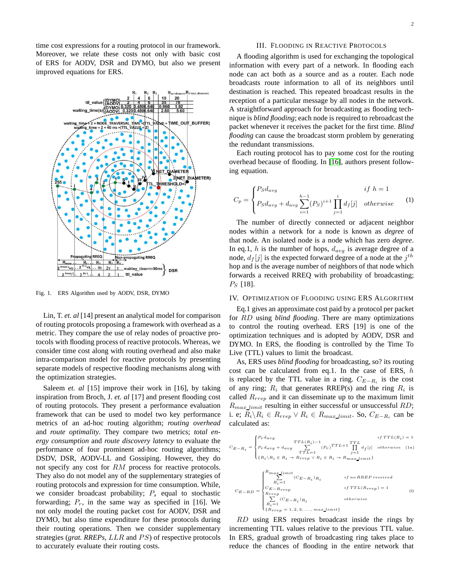time cost expressions for a routing protocol in our framework. Moreover, we relate these costs not only with basic cost of ERS for AODV, DSR and DYMO, but also we present improved equations for ERS.



Fig. 1. ERS Algorithm used by AODV, DSR, DYMO

Lin, T. *et. al* [14] present an analytical model for comparison of routing protocols proposing a framework with overhead as a metric. They compare the use of relay nodes of proactive protocols with flooding process of reactive protocols. Whereas, we consider time cost along with routing overhead and also make intra-comparison model for reactive protocols by presenting separate models of respective flooding mechanisms along with the optimization strategies.

Saleem *et. al* [15] improve their work in [16], by taking inspiration from Broch, J. *et. al* [17] and present flooding cost of routing protocols. They present a performance evaluation framework that can be used to model two key performance metrics of an ad-hoc routing algorithm; *routing overhead* and *route optimality*. They compare two metrics; *total energy consumption* and *route discovery latency* to evaluate the performance of four prominent ad-hoc routing algorithms; DSDV, DSR, AODV-LL and Gossiping. However, they do not specify any cost for RM process for reactive protocols. They also do not model any of the supplementary strategies of routing protocols and expression for time consumption. While, we consider broadcast probability;  $P_s$  equal to stochastic forwarding;  $P_r$ , in the same way as specified in [16]. We not only model the routing packet cost for AODV, DSR and DYMO, but also time expenditure for these protocols during their routing operations. Then we consider supplementary strategies (*grat. RREPs*, LLR and PS) of respective protocols to accurately evaluate their routing costs.

## III. FLOODING IN REACTIVE PROTOCOLS

A flooding algorithm is used for exchanging the topological information with every part of a network. In flooding each node can act both as a source and as a router. Each node broadcasts route information to all of its neighbors until destination is reached. This repeated broadcast results in the reception of a particular message by all nodes in the network. A straightforward approach for broadcasting as flooding technique is *blind flooding*; each node is required to rebroadcast the packet whenever it receives the packet for the first time. *Blind flooding* can cause the broadcast storm problem by generating the redundant transmissions.

Each routing protocol has to pay some cost for the routing overhead because of flooding. In [\[16\]](#page-5-0), authors present following equation.

$$
C_p = \begin{cases} P_S d_{avg} & if \ h = 1\\ P_S d_{avg} + d_{avg} \sum_{i=1}^{h-1} (P_S)^{i+1} \prod_{j=1}^{i} d_f[j] & otherwise \end{cases}
$$
(1)

The number of directly connected or adjacent neighbor nodes within a network for a node is known as *degree* of that node. An isolated node is a node which has zero *degree*. In eq.1, h is the number of hops,  $d_{avg}$  is average degree of a node,  $d_f[j]$  is the expected forward degree of a node at the  $j^{th}$ hop and is the average number of neighbors of that node which forwards a received RREQ with probability of broadcasting;  $P_S$  [18].

#### IV. OPTIMIZATION OF FLOODING USING ERS ALGORITHM

Eq.1 gives an approximate cost paid by a protocol per packet for RD using *blind flooding*. There are many optimizations to control the routing overhead. ERS [19] is one of the optimization techniques and is adopted by AODV, DSR and DYMO. In ERS, the flooding is controlled by the Time To Live (TTL) values to limit the broadcast.

As, ERS uses *blind flooding* for broadcasting, so? its routing cost can be calculated from eq.1. In the case of ERS,  $h$ is replaced by the TTL value in a ring.  $C_{E-R_i}$  is the cost of any ring;  $R_i$  that generates RREP(s) and the ring  $R_i$  is called  $R_{rren}$  and it can disseminate up to the maximum limit  $R_{max\_limit}$  resulting in either successful or unsuccessful RD; i. e;  $R_i \backslash R_i \in R_{rrep} \vee R_i \in R_{max\_limit}$ . So,  $C_{E-R_i}$  can be calculated as:

$$
C_{E-R_i} = \begin{cases} P_r d_{avg} & \text{TTL}(R_i)-1\\ P_r d_{avg} + d_{avg} & \sum_{TTL=1}^{TTL} (P_r)^{TTL+1} \prod_{j=1}^{TTL} d_f[j] & otherwise & \text{(1a)}\\ \{R_i \backslash R_i \in R_i \rightarrow R_{rrep} \lor R_i \in R_i \rightarrow R_{max\_limit}\} \end{cases}
$$

$$
C_{E-RD} = \begin{cases} R_{max\_limit} & \textit{if no RREF received} \\ \sum\limits_{R_i=1}^{R_i=1} (C_{E-R_i})_{R_i} & \textit{if no RREF received} \\ C_{E-Rrrep} & \textit{if TTL(R_{rrep}) = 1} \\ R_{rrep} & \textit{otherwise} \\ \sum\limits_{R_i=1}^{R_i=1} (C_{E-R_i})_{R_i} & \textit{otherwise} \\ \{R_{rrep}=1,2,3,...,max\_limit\} \end{cases} \eqno{(2)}
$$

RD using ERS requires broadcast inside the rings by incrementing TTL values relative to the previous TTL value. In ERS, gradual growth of broadcasting ring takes place to reduce the chances of flooding in the entire network that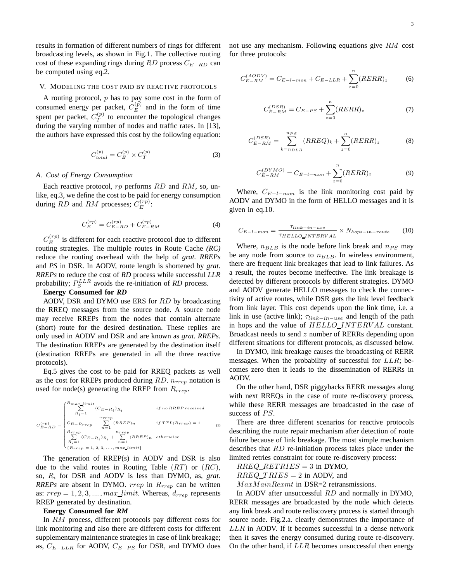results in formation of different numbers of rings for different broadcasting levels, as shown in Fig.1. The collective routing cost of these expanding rings during RD process  $C_{E-RD}$  can be computed using eq.2.

#### V. MODELING THE COST PAID BY REACTIVE PROTOCOLS

A routing protocol,  $p$  has to pay some cost in the form of consumed energy per packet,  $C_E^{(p)}$  and in the form of time spent per packet,  $C_T^{(p)}$  to encounter the topological changes during the varying number of nodes and traffic rates. In [13], the authors have expressed this cost by the following equation:

$$
C_{total}^{(p)} = C_E^{(p)} \times C_T^{(p)} \tag{3}
$$

#### *A. Cost of Energy Consumption*

Each reactive protocol,  $rp$  performs  $RD$  and  $RM$ , so, unlike, eq.3, we define the cost to be paid for energy consumption during  $RD$  and  $RM$  processes;  $C_E^{(rp)}$ :

$$
C_E^{(rp)} = C_{E-RD}^{(rp)} + C_{E-RM}^{(rp)}
$$
(4)

 $C_{E}^{(rp)}$  is different for each reactive protocol due to different routing strategies. The multiple routes in Route Cache *(RC)* reduce the routing overhead with the help of *grat. RREPs* and *PS* in DSR. In AODV, route length is shortened by *grat. RREPs* to reduce the cost of *RD* process while successful *LLR* probability;  $P_S^{LLR}$  avoids the re-initiation of *RD* process.

# **Energy Consumed for** *RD*

AODV, DSR and DYMO use ERS for RD by broadcasting the RREQ messages from the source node. A source node may receive RREPs from the nodes that contain alternate (short) route for the desired destination. These replies are only used in AODV and DSR and are known as *grat. RREPs*. The destination RREPs are generated by the destination itself (destination RREPs are generated in all the three reactive protocols).

Eq.5 gives the cost to be paid for RREQ packets as well as the cost for RREPs produced during  $RD$ .  $n_{rrep}$  notation is used for node(s) generating the RREP from  $R_{rrep}$ .

$$
C_{E-RD}^{(rp)} = \begin{cases} \sum\limits_{i=1}^{R_{max\_limit}} (C_{E-R_i})_{R_i} & \text{if no RREF received} \\ \sum\limits_{i=1}^{n_{rrep}} (RREF)_{n} & \text{if TTL}(R_{rrep}) = 1 \\ \sum\limits_{i=1}^{R_{rrep}} (C_{E-R_i})_{R_i} + \sum\limits_{i=1}^{n_{rrep}} (RREF)_{n} & \text{otherwise} \\ \sum\limits_{i=1}^{R_{rrep}} (C_{E-R_i})_{R_i} + \sum\limits_{i=1}^{n_{rrep}} (RREF)_{n} & \text{otherwise} \end{cases} \tag{5}
$$

The generation of RREP(s) in AODV and DSR is also due to the valid routes in Routing Table  $(RT)$  or  $(RC)$ , so, R<sup>i</sup> for DSR and AODV is less than DYMO, as, *grat. RREPs* are absent in DYMO.  $rrep$  in  $R_{rrep}$  can be written as:  $rrep = 1, 2, 3, \ldots, max\_limit$ . Whereas,  $d_{rrep}$  represents RREP generated by destination.

#### **Energy Consumed for** *RM*

In RM process, different protocols pay different costs for link monitoring and also there are different costs for different supplementary maintenance strategies in case of link breakage; as,  $C_{E-LLR}$  for AODV,  $C_{E-PS}$  for DSR, and DYMO does not use any mechanism. Following equations give RM cost for three protocols:

$$
C_{E-RM}^{(AODV)} = C_{E-l-mon} + C_{E-LLR} + \sum_{z=0}^{n} (RERR)_z
$$
 (6)

$$
C_{E-RM}^{(DSR)} = C_{E-PS} + \sum_{z=0}^{n} (RERR)_z
$$
 (7)

$$
C_{E-RM}^{(DSR)} = \sum_{k=n_{BLB}}^{n_{PS}} (RREQ)_k + \sum_{z=0}^{n} (RERR)_z
$$
 (8)

$$
C_{E-RM}^{(DYMO)} = C_{E-l-mon} + \sum_{z=0}^{n} (RERR)_z
$$
 (9)

Where,  $C_{E-l-mon}$  is the link monitoring cost paid by AODV and DYMO in the form of HELLO messages and it is given in eq.10.

$$
C_{E-l-mon} = \frac{\tau_{link-in-use}}{\tau_{HELLO\_INTERVAL}} \times N_{hops-in-route}
$$
 (10)

Where,  $n_{BLB}$  is the node before link break and  $n_{PS}$  may be any node from source to  $n_{BLB}$ . In wireless environment, there are frequent link breakages that lead to link failures. As a result, the routes become ineffective. The link breakage is detected by different protocols by different strategies. DYMO and AODV generate HELLO messages to check the connectivity of active routes, while DSR gets the link level feedback from link layer. This cost depends upon the link time, i.e. a link in use (active link);  $\tau_{link-in-use}$  and length of the path in hops and the value of HELLO\_INTERVAL constant. Broadcast needs to send z number of RERRs depending upon different situations for different protocols, as discussed below.

In DYMO, link breakage causes the broadcasting of RERR messages. When the probability of successful for LLR; becomes zero then it leads to the dissemination of RERRs in AODV.

On the other hand, DSR piggybacks RERR messages along with next RREQs in the case of route re-discovery process, while these RERR messages are broadcasted in the case of success of  $PS$ .

There are three different scenarios for reactive protocols describing the route repair mechanism after detection of route failure because of link breakage. The most simple mechanism describes that RD re-initiation process takes place under the limited retries constraint for route re-discovery process:

 $RREQ\_RETRIES = 3$  in DYMO,

 $RREQ\_TRIES = 2$  in AODV, and

 $MaxMainRemark$  in DSR=2 retransmissions.

In AODV after unsuccessful RD and normally in DYMO, RERR messages are broadcasted by the node which detects any link break and route rediscovery process is started through source node. Fig.2.a. clearly demonstrates the importance of  $LLR$  in AODV. If it becomes successful in a dense network then it saves the energy consumed during route re-discovery. On the other hand, if  $LLR$  becomes unsuccessful then energy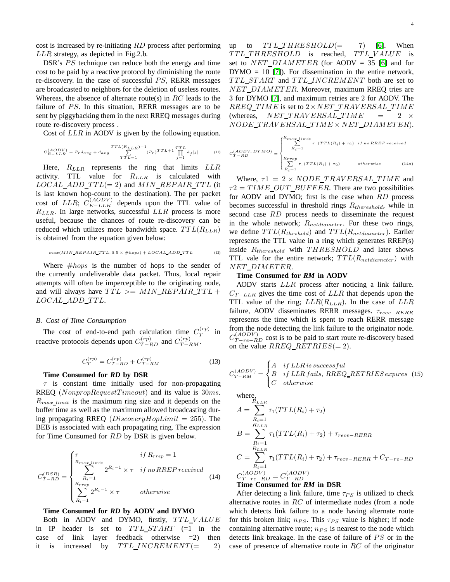cost is increased by re-initiating RD process after performing LLR strategy, as depicted in Fig.2.b.

DSR's PS technique can reduce both the energy and time cost to be paid by a reactive protocol by diminishing the route re-discovery. In the case of successful  $PS$ , RERR messages are broadcasted to neighbors for the deletion of useless routes. Whereas, the absence of alternate route(s) in  $RC$  leads to the failure of  $PS$ . In this situation, RERR messages are to be sent by piggybacking them in the next RREQ messages during route re-discovery process .

Cost of LLR in AODV is given by the following equation.

$$
C_{E-LLR}^{(ADDV)} = P_r d_{avg} + d_{avg} \sum_{TTL=1}^{TTL(R_{LLR})-1} (P_r)^{TTL+1} \prod_{j=1}^{TTL} d_f[j]
$$
(11)

Here,  $R_{LLR}$  represents the ring that limits  $LLR$ activity. TTL value for  $R_{LLR}$  is calculated with  $LOCAL\_ADD\_TTL (= 2)$  and  $MIN\_REPAIR\_TTL$  (it is last known hop-count to the destination). The per packet cost of LLR;  $C_{E-LLR}^{(AODV)}$  depends upon the TTL value of  $R_{LLR}$ . In large networks, successful  $LLR$  process is more useful, because the chances of route re-discovery can be reduced which utilizes more bandwidth space.  $TTL(R_{LLR})$ is obtained from the equation given below:

$$
max(MIN\_REPAIR\_TTL, 0.5 \times \#hops) + LOGAL\_ADD\_TTL
$$
 (12)

Where  $#hops$  is the number of hops to the sender of the currently undeliverable data packet. Thus, local repair attempts will often be imperceptible to the originating node, and will always have  $TTL \geq MIN\_REPAIR\_TTL +$ LOCAL\_ADD\_TTL.

#### *B. Cost of Time Consumption*

The cost of end-to-end path calculation time  $C_T^{(rp)}$ in reactive protocols depends upon  $C_{T-RD}^{(rp)}$  and  $C_{T-RM}^{(rp)}$ .

$$
C_T^{(rp)} = C_{T-RD}^{(rp)} + C_{T-RM}^{(rp)}
$$
\n(13)

## **Time Consumed for** *RD* **by DSR**

 $\tau$  is constant time initially used for non-propagating RREQ (NonpropRequestTimeout) and its value is  $30ms$ .  $R_{max\ limit}$  is the maximum ring size and it depends on the buffer time as well as the maximum allowed broadcasting during propagating RREQ (*DiscoveryHopLimit* = 255). The BEB is associated with each propagating ring. The expression for Time Consumed for RD by DSR is given below.

$$
C_{T-RD}^{(DSR)} = \begin{cases} \tau & if \ R_{rrep} = 1\\ \sum_{R_i=1}^{R_{max\_limit}} 2^{R_i - 1} \times \tau & if \ no \ RREP \ received\\ \sum_{R_i=1}^{R_{rrep}} 2^{R_i - 1} \times \tau & otherwise \end{cases} \tag{14}
$$

#### **Time Consumed for** *RD* **by AODV and DYMO**

Both in AODV and DYMO, firstly, TTL\_VALUE in IP header is set to  $TTL_START$  (=1 in the case of link layer feedback otherwise =2) then it is increased by  $TTL\_INCREMENT (= 2)$  up to  $TTL_THRESHOLD(= 7)$  [\[6\]](#page-5-1). When TTL\_THRESHOLD is reached, TTL\_VALUE is set to  $NET\_DIAMETER$  (for AODV = 35 [\[6\]](#page-5-1) and for  $DYMO = 10$  [\[7\]](#page-5-2)). For dissemination in the entire network, TTL\_START and TTL\_INCREMENT both are set to NET DIAMET ER. Moreover, maximum RREQ tries are 3 for DYMO [\[7\]](#page-5-2), and maximum retries are 2 for AODV. The  $RREQ$ \_TIME is set to  $2 \times NET$ \_TRAVERSAL\_TIME (whereas,  $NET\_TRAVERSAL\_TIME$  = 2  $\times$  $NODE\_TRAVERSAL\_TIME \times NET\_DIAMETER$ ).

$$
C_{T-RD}^{(AODV, DYMO)} = \begin{cases} R_{max\_limit} & \tau_1(TTL(R_i) + \tau_2) & \text{if no RREF received} \\ R_i = 1 & \\ R_{rrep} & \\ R_{i} = 1 & \end{cases} \tag{14a}
$$

Where,  $\tau_1 = 2 \times \text{NODE\_TRAVERSAL\_TIME}$  and  $\tau_2 = TIME$  OUT BUFFER. There are two possibilities for AODV and DYMO; first is the case when RD process becomes successful in threshold rings  $R_{threshold}$ , while in second case RD process needs to disseminate the request in the whole network;  $R_{netdiameter}$ . For these two rings, we define  $TTL(R_{thrshold})$  and  $TTL(R_{netdiameter})$ . Earlier represents the TTL value in a ring which generates RREP(s) inside  $R_{threshold}$  with THRESHOLD and later shows TTL vale for the entire network;  $TTL(R_{netdiameter})$  with NET DIMET ER.

#### **Time Consumed for** *RM* **in AODV**

AODV starts LLR process after noticing a link failure.  $C_{T-LLR}$  gives the time cost of  $LLR$  that depends upon the TTL value of the ring;  $LLR(R_{LLR})$ . In the case of  $LLR$ failure, AODV disseminates RERR messages.  $\tau_{recv-RERR}$ represents the time which is spent to reach RERR message from the node detecting the link failure to the originator node.  $C_{T-re-RD}^{(AODV)}$  cost is to be paid to start route re-discovery based on the value  $RREG\_RETRIES (= 2)$ .

$$
C_{T-RM}^{(AODV)} = \begin{cases} A & if LLR\ is\ success\ full \\ B & if LLR\ fails,\ RREQ\_RETRIES\ expires \ (15) \\ C & otherwise \end{cases}
$$

where,

$$
A = \sum_{R_i=1}^{R_{LLR}} \tau_1(TTL(R_i) + \tau_2)
$$
  
\n
$$
B = \sum_{R_i=1}^{R_{LLR}} \tau_1(TTL(R_i) + \tau_2) + \tau_{recv-RERR}
$$
  
\n
$$
C = \sum_{R_i=1}^{R_{LLR}} \tau_1(TTL(R_i) + \tau_2) + \tau_{recv-RERR} + C_{T-re-RD}
$$
  
\n
$$
C_{T-re-RD}^{(AODV)} = C_{T-RD}^{(AODV)}
$$
  
\nTime Consumed for RM in DSR

After detecting a link failure, time  $\tau_{PS}$  is utilized to check alternative routes in  $RC$  of intermediate nodes (from a node which detects link failure to a node having alternate route for this broken link;  $n_{PS}$ . This  $\tau_{PS}$  value is higher; if node containing alternative route;  $n_{PS}$  is nearest to the node which detects link breakage. In the case of failure of  $PS$  or in the case of presence of alternative route in RC of the originator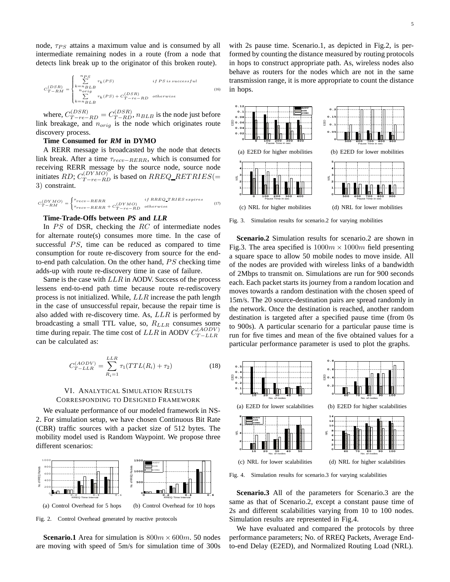node,  $\tau_{PS}$  attains a maximum value and is consumed by all intermediate remaining nodes in a route (from a node that detects link break up to the originator of this broken route).

$$
C_{T-RM}^{(DSR)} = \begin{cases} \sum\limits_{k=n_{BLB}}^{n_{PS}} \tau_k(PS) & \textit{if PS is successful} \\ \sum\limits_{n_{orig}}^{n_{orig}} \tau_k(PS) + C_{T-re-RD}^{(DSR)} & \textit{otherwise} \end{cases} \tag{16}
$$

where,  $C_{T-re-RD}^{(DSR)} = C_{T-RD}^{(DSR)}$ ,  $n_{BLB}$  is the node just before link breakage, and  $n_{orig}$  is the node which originates route discovery process.

## **Time Consumed for** *RM* **in DYMO**

A RERR message is broadcasted by the node that detects link break. After a time  $\tau_{recv-RERR}$ , which is consumed for receiving RERR message by the source node, source node initiates RD;  $C_{T-re-RD}^{(DYMO)}$  is based on RREQ\_RETRIES(= 3) constraint.

$$
C_{T-RM}^{(DYMO)} = \begin{cases} \tau_{recv} - RERR & \text{if RREQ\_TRIES \text{ expires}} \\ \tau_{recv} - RERR + C_{T-r e-RD}^{(DYMO)} & \text{otherwise} \end{cases} \tag{17}
$$

# **Time-Trade-Offs between** *PS* **and** *LLR*

In  $PS$  of DSR, checking the  $RC$  of intermediate nodes for alternate route(s) consumes more time. In the case of successful  $PS$ , time can be reduced as compared to time consumption for route re-discovery from source for the endto-end path calculation. On the other hand,  $PS$  checking time adds-up with route re-discovery time in case of failure.

Same is the case with LLR in AODV. Success of the process lessens end-to-end path time because route re-rediscovery process is not initialized. While, LLR increase the path length in the case of unsuccessful repair, because the repair time is also added with re-discovery time. As,  $LLR$  is performed by broadcasting a small TTL value, so,  $R_{LLR}$  consumes some time during repair. The time cost of  $LLR$  in AODV  $C_{T-LLR}^{(AODV)}$ can be calculated as:

$$
C_{T-LLR}^{(AODV)} = \sum_{R_i=1}^{LLR} \tau_1(TTL(R_i) + \tau_2)
$$
 (18)

# VI. ANALYTICAL SIMULATION RESULTS CORRESPONDING TO DESIGNED FRAMEWORK

We evaluate performance of our modeled framework in NS-2. For simulation setup, we have chosen Continuous Bit Rate (CBR) traffic sources with a packet size of 512 bytes. The mobility model used is Random Waypoint. We propose three different scenarios:



Fig. 2. Control Overhead generated by reactive protocols

**Scenario.1** Area for simulation is  $800m \times 600m$ . 50 nodes are moving with speed of 5m/s for simulation time of 300s with 2s pause time. Scenario.1, as depicted in Fig.2, is performed by counting the distance measured by routing protocols in hops to construct appropriate path. As, wireless nodes also behave as routers for the nodes which are not in the same transmission range, it is more appropriate to count the distance in hops.



Fig. 3. Simulation results for scenario.2 for varying mobilities

**Scenario.2** Simulation results for scenario.2 are shown in Fig.3. The area specified is  $1000m \times 1000m$  field presenting a square space to allow 50 mobile nodes to move inside. All of the nodes are provided with wireless links of a bandwidth of 2Mbps to transmit on. Simulations are run for 900 seconds each. Each packet starts its journey from a random location and moves towards a random destination with the chosen speed of 15m/s. The 20 source-destination pairs are spread randomly in the network. Once the destination is reached, another random destination is targeted after a specified pause time (from 0s to 900s). A particular scenario for a particular pause time is run for five times and mean of the five obtained values for a particular performance parameter is used to plot the graphs.



Fig. 4. Simulation results for scenario.3 for varying scalabilities

**Scenario.3** All of the parameters for Scenario.3 are the same as that of Scenario.2, except a constant pause time of 2s and different scalabilities varying from 10 to 100 nodes. Simulation results are represented in Fig.4.

We have evaluated and compared the protocols by three performance parameters; No. of RREQ Packets, Average Endto-end Delay (E2ED), and Normalized Routing Load (NRL).